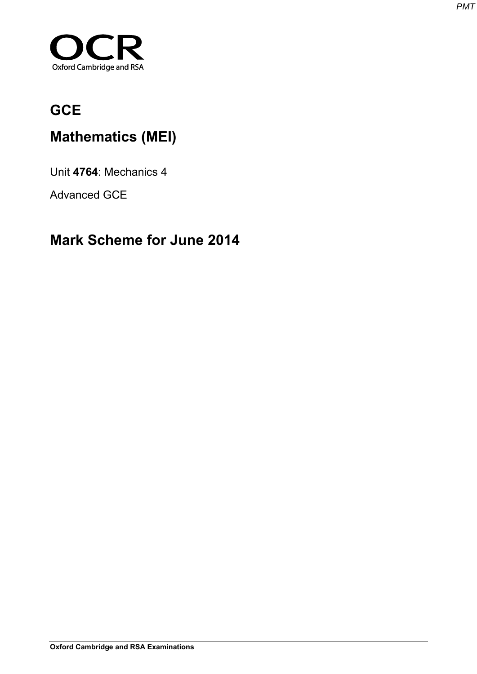

# **GCE**

# **Mathematics (MEI)**

Unit **4764**: Mechanics 4

Advanced GCE

# **Mark Scheme for June 2014**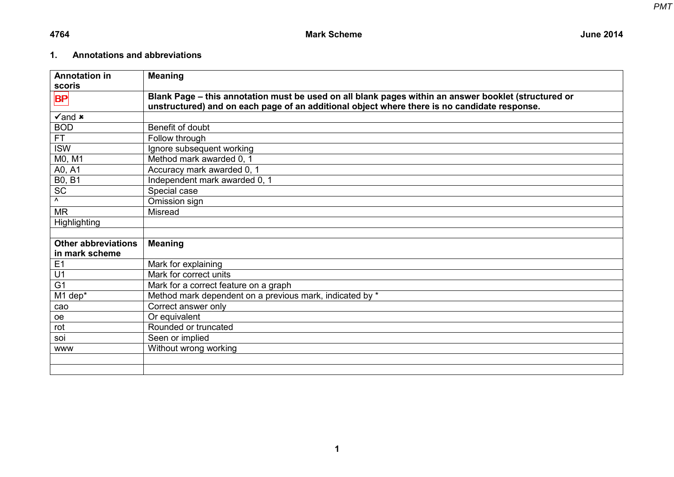## **1. Annotations and abbreviations**

| <b>Annotation in</b>       | <b>Meaning</b>                                                                                       |
|----------------------------|------------------------------------------------------------------------------------------------------|
| scoris                     |                                                                                                      |
| <b>BP</b>                  | Blank Page - this annotation must be used on all blank pages within an answer booklet (structured or |
|                            | unstructured) and on each page of an additional object where there is no candidate response.         |
| $\sqrt{2}$ and $\bm{x}$    |                                                                                                      |
| <b>BOD</b>                 | Benefit of doubt                                                                                     |
| FT.                        | Follow through                                                                                       |
| <b>ISW</b>                 | Ignore subsequent working                                                                            |
| M0, M1                     | Method mark awarded 0, 1                                                                             |
| A0, A1                     | Accuracy mark awarded 0, 1                                                                           |
| <b>B0, B1</b>              | Independent mark awarded 0, 1                                                                        |
| <b>SC</b>                  | Special case                                                                                         |
| Λ                          | Omission sign                                                                                        |
| <b>MR</b>                  | <b>Misread</b>                                                                                       |
| Highlighting               |                                                                                                      |
|                            |                                                                                                      |
| <b>Other abbreviations</b> | <b>Meaning</b>                                                                                       |
| in mark scheme             |                                                                                                      |
| E1                         | Mark for explaining                                                                                  |
| U1                         | Mark for correct units                                                                               |
| G <sub>1</sub>             | Mark for a correct feature on a graph                                                                |
| M1 dep*                    | Method mark dependent on a previous mark, indicated by *                                             |
| cao                        | Correct answer only                                                                                  |
| oe                         | Or equivalent                                                                                        |
| rot                        | Rounded or truncated                                                                                 |
| soi                        | Seen or implied                                                                                      |
| <b>WWW</b>                 | Without wrong working                                                                                |
|                            |                                                                                                      |
|                            |                                                                                                      |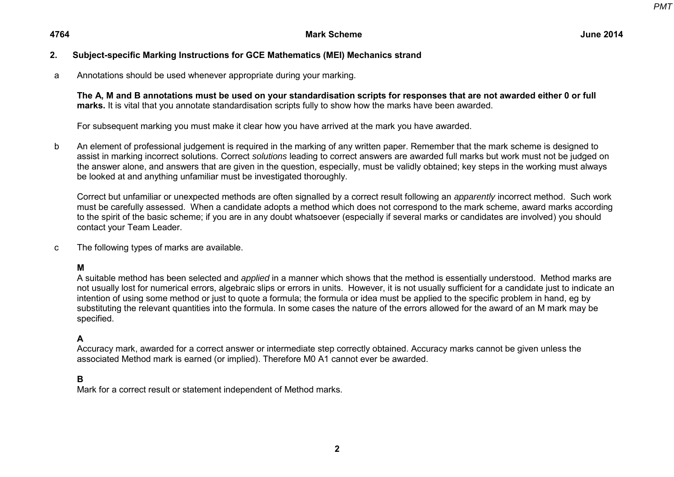## **2. Subject-specific Marking Instructions for GCE Mathematics (MEI) Mechanics strand**

a Annotations should be used whenever appropriate during your marking.

**The A, M and B annotations must be used on your standardisation scripts for responses that are not awarded either 0 or full marks.** It is vital that you annotate standardisation scripts fully to show how the marks have been awarded.

For subsequent marking you must make it clear how you have arrived at the mark you have awarded.

b An element of professional judgement is required in the marking of any written paper. Remember that the mark scheme is designed to assist in marking incorrect solutions. Correct *solutions* leading to correct answers are awarded full marks but work must not be judged on the answer alone, and answers that are given in the question, especially, must be validly obtained; key steps in the working must always be looked at and anything unfamiliar must be investigated thoroughly.

Correct but unfamiliar or unexpected methods are often signalled by a correct result following an *apparently* incorrect method. Such work must be carefully assessed. When a candidate adopts a method which does not correspond to the mark scheme, award marks according to the spirit of the basic scheme; if you are in any doubt whatsoever (especially if several marks or candidates are involved) you should contact your Team Leader.

c The following types of marks are available.

**M** 

A suitable method has been selected and *applied* in a manner which shows that the method is essentially understood. Method marks are not usually lost for numerical errors, algebraic slips or errors in units. However, it is not usually sufficient for a candidate just to indicate an intention of using some method or just to quote a formula; the formula or idea must be applied to the specific problem in hand, eg by substituting the relevant quantities into the formula. In some cases the nature of the errors allowed for the award of an M mark may be specified.

## **A**

Accuracy mark, awarded for a correct answer or intermediate step correctly obtained. Accuracy marks cannot be given unless the associated Method mark is earned (or implied). Therefore M0 A1 cannot ever be awarded.

### **B**

Mark for a correct result or statement independent of Method marks.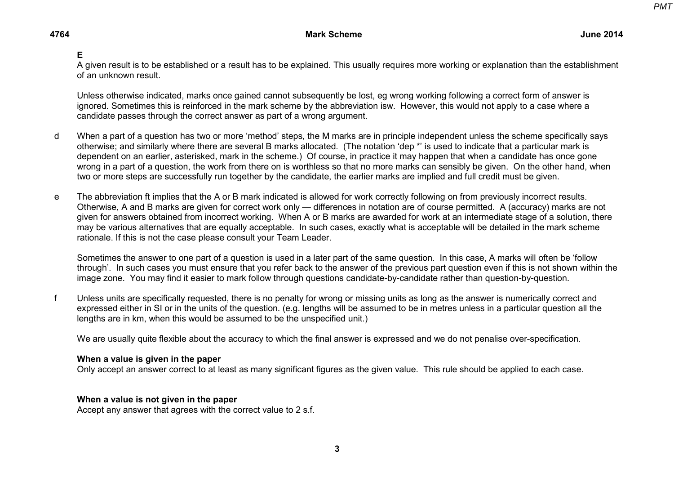## **E**

A given result is to be established or a result has to be explained. This usually requires more working or explanation than the establishment of an unknown result.

Unless otherwise indicated, marks once gained cannot subsequently be lost, eg wrong working following a correct form of answer is ignored. Sometimes this is reinforced in the mark scheme by the abbreviation isw. However, this would not apply to a case where a candidate passes through the correct answer as part of a wrong argument.

- d When a part of a question has two or more 'method' steps, the M marks are in principle independent unless the scheme specifically says otherwise; and similarly where there are several B marks allocated. (The notation 'dep \*' is used to indicate that a particular mark is dependent on an earlier, asterisked, mark in the scheme.) Of course, in practice it may happen that when a candidate has once gone wrong in a part of a question, the work from there on is worthless so that no more marks can sensibly be given. On the other hand, when two or more steps are successfully run together by the candidate, the earlier marks are implied and full credit must be given.
- e The abbreviation ft implies that the A or B mark indicated is allowed for work correctly following on from previously incorrect results. Otherwise, A and B marks are given for correct work only — differences in notation are of course permitted. A (accuracy) marks are not given for answers obtained from incorrect working. When A or B marks are awarded for work at an intermediate stage of a solution, there may be various alternatives that are equally acceptable. In such cases, exactly what is acceptable will be detailed in the mark scheme rationale. If this is not the case please consult your Team Leader.

Sometimes the answer to one part of a question is used in a later part of the same question. In this case, A marks will often be 'follow through'. In such cases you must ensure that you refer back to the answer of the previous part question even if this is not shown within the image zone. You may find it easier to mark follow through questions candidate-by-candidate rather than question-by-question.

f Unless units are specifically requested, there is no penalty for wrong or missing units as long as the answer is numerically correct and expressed either in SI or in the units of the question. (e.g. lengths will be assumed to be in metres unless in a particular question all the lengths are in km, when this would be assumed to be the unspecified unit.)

We are usually quite flexible about the accuracy to which the final answer is expressed and we do not penalise over-specification.

#### **When a value is given in the paper**

Only accept an answer correct to at least as many significant figures as the given value. This rule should be applied to each case.

### **When a value is not given in the paper**

Accept any answer that agrees with the correct value to 2 s.f.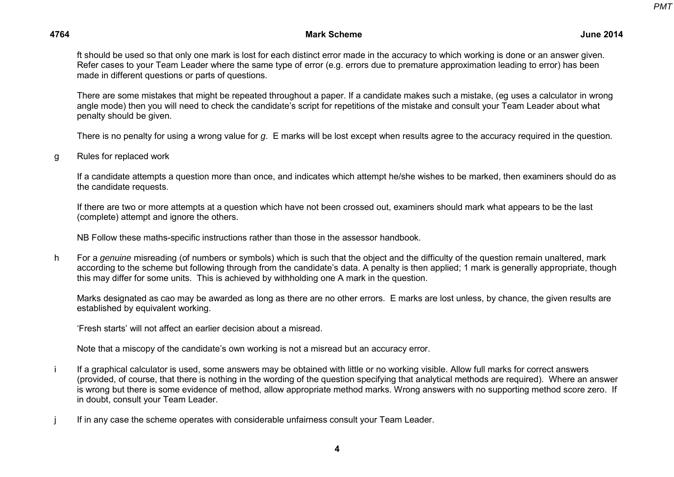*PMT*

### **4764 Mark Scheme June 2014**

ft should be used so that only one mark is lost for each distinct error made in the accuracy to which working is done or an answer given. Refer cases to your Team Leader where the same type of error (e.g. errors due to premature approximation leading to error) has been made in different questions or parts of questions.

There are some mistakes that might be repeated throughout a paper. If a candidate makes such a mistake, (eg uses a calculator in wrong angle mode) then you will need to check the candidate's script for repetitions of the mistake and consult your Team Leader about what penalty should be given.

There is no penalty for using a wrong value for *g*. E marks will be lost except when results agree to the accuracy required in the question.

g Rules for replaced work

If a candidate attempts a question more than once, and indicates which attempt he/she wishes to be marked, then examiners should do as the candidate requests.

If there are two or more attempts at a question which have not been crossed out, examiners should mark what appears to be the last (complete) attempt and ignore the others.

NB Follow these maths-specific instructions rather than those in the assessor handbook.

h For a *genuine* misreading (of numbers or symbols) which is such that the object and the difficulty of the question remain unaltered, mark according to the scheme but following through from the candidate's data. A penalty is then applied; 1 mark is generally appropriate, though this may differ for some units. This is achieved by withholding one A mark in the question.

Marks designated as cao may be awarded as long as there are no other errors. E marks are lost unless, by chance, the given results are established by equivalent working.

'Fresh starts' will not affect an earlier decision about a misread.

Note that a miscopy of the candidate's own working is not a misread but an accuracy error.

- i If a graphical calculator is used, some answers may be obtained with little or no working visible. Allow full marks for correct answers (provided, of course, that there is nothing in the wording of the question specifying that analytical methods are required). Where an answer is wrong but there is some evidence of method, allow appropriate method marks. Wrong answers with no supporting method score zero. If in doubt, consult your Team Leader.
- j If in any case the scheme operates with considerable unfairness consult your Team Leader.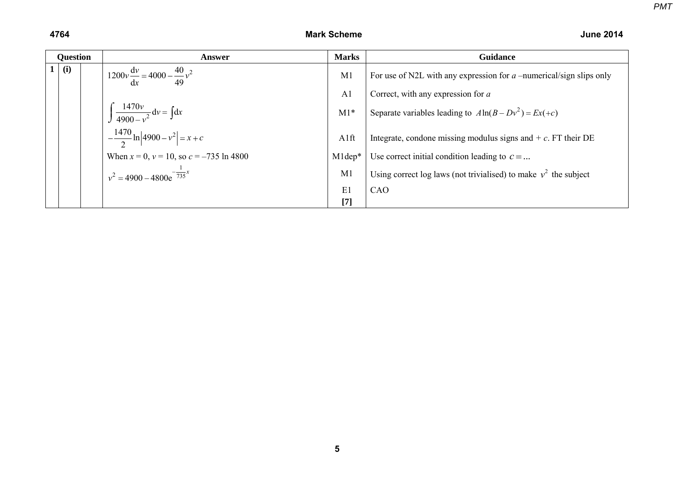| <b>Question</b> |  | Answer                                                  | <b>Marks</b>   | <b>Guidance</b>                                                       |
|-----------------|--|---------------------------------------------------------|----------------|-----------------------------------------------------------------------|
| (i)             |  | $1200v \frac{dv}{dx} = 4000 - \frac{40}{49}v^2$         | M1             | For use of N2L with any expression for $a$ –numerical/sign slips only |
|                 |  |                                                         | A <sub>1</sub> | Correct, with any expression for a                                    |
|                 |  | $\int \frac{1470v}{4900 - v^2} dv = \int dx$            | $M1*$          | Separate variables leading to $A \ln(B - Dv^2) = Ex(+c)$              |
|                 |  | $-\frac{1470}{2} \ln \left  4900 - v^2 \right  = x + c$ | A1ft           | Integrate, condone missing modulus signs and $+ c$ . FT their DE      |
|                 |  | When $x = 0$ , $v = 10$ , so $c = -735 \ln 4800$        | $M1dep*$       | Use correct initial condition leading to $c = $                       |
|                 |  | $v^2 = 4900 - 4800e^{-\frac{1}{735}x}$                  | M1             | Using correct log laws (not trivialised) to make $v^2$ the subject    |
|                 |  |                                                         | E1             | CAO                                                                   |
|                 |  |                                                         | $[7]$          |                                                                       |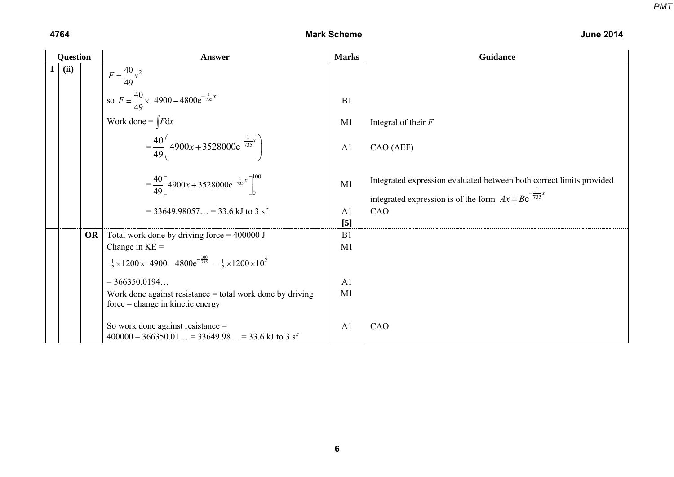*PMT*

|              | Question |           | <b>Answer</b>                                                                                            | <b>Marks</b>   | <b>Guidance</b>                                                                                                                          |
|--------------|----------|-----------|----------------------------------------------------------------------------------------------------------|----------------|------------------------------------------------------------------------------------------------------------------------------------------|
| $\mathbf{1}$ | (ii)     |           | $F = \frac{40}{49}v^2$                                                                                   |                |                                                                                                                                          |
|              |          |           | so $F = \frac{40}{49} \times 4900 - 4800e^{-\frac{1}{735}x}$                                             | B1             |                                                                                                                                          |
|              |          |           | Work done = $\int F dx$                                                                                  | M1             | Integral of their $F$                                                                                                                    |
|              |          |           | $=\frac{40}{49}\left(4900x+3528000e^{-\frac{1}{735}x}\right)$                                            | A <sub>1</sub> | CAO (AEF)                                                                                                                                |
|              |          |           | $=\frac{40}{49}\left[4900x+3528000e^{-\frac{1}{735}x}\right]_{0}^{100}$                                  | M1             | Integrated expression evaluated between both correct limits provided<br>integrated expression is of the form $Ax + Be^{-\frac{1}{735}x}$ |
|              |          |           | $=$ 33649.98057 = 33.6 kJ to 3 sf                                                                        | A <sub>1</sub> | CAO                                                                                                                                      |
|              |          |           |                                                                                                          | $[5]$          |                                                                                                                                          |
|              |          | <b>OR</b> | Total work done by driving force = $400000$ J                                                            | B1             |                                                                                                                                          |
|              |          |           | Change in $KE =$                                                                                         | M1             |                                                                                                                                          |
|              |          |           | $\frac{1}{2} \times 1200 \times 4900 - 4800e^{-\frac{100}{735}} - \frac{1}{2} \times 1200 \times 10^{2}$ |                |                                                                                                                                          |
|              |          |           | $= 366350.0194$                                                                                          | A <sub>1</sub> |                                                                                                                                          |
|              |          |           | Work done against resistance $=$ total work done by driving<br>force – change in kinetic energy          | M <sub>1</sub> |                                                                                                                                          |
|              |          |           | So work done against resistance $=$<br>$400000 - 366350.01 = 33649.98 = 33.6$ kJ to 3 sf                 | A <sub>1</sub> | CAO                                                                                                                                      |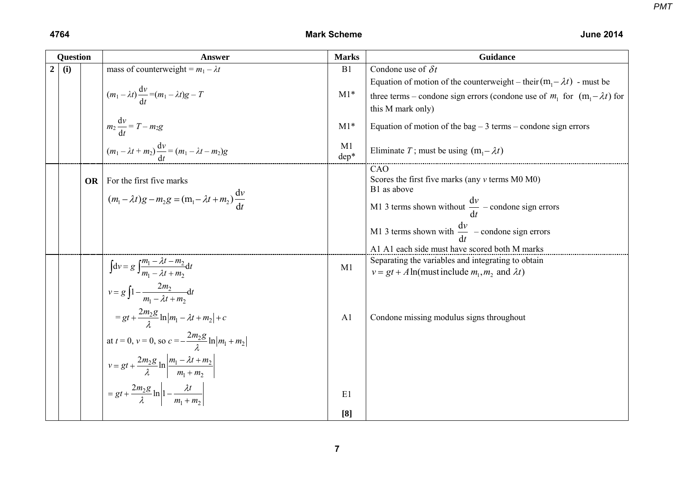| <b>Question</b>  |     |    | <b>Answer</b>                                                                                                                                                                                                                                                                                                                                                          | <b>Marks</b>         | Guidance                                                                                                                                                                                                                                                     |
|------------------|-----|----|------------------------------------------------------------------------------------------------------------------------------------------------------------------------------------------------------------------------------------------------------------------------------------------------------------------------------------------------------------------------|----------------------|--------------------------------------------------------------------------------------------------------------------------------------------------------------------------------------------------------------------------------------------------------------|
| $\boldsymbol{2}$ | (i) |    | mass of counterweight = $m_1 - \lambda t$                                                                                                                                                                                                                                                                                                                              | B1                   | Condone use of $\delta t$                                                                                                                                                                                                                                    |
|                  |     |    | $(m_1 - \lambda t) \frac{dv}{dt} = (m_1 - \lambda t)g - T$                                                                                                                                                                                                                                                                                                             | $M1*$                | Equation of motion of the counterweight – their $(m_1 - \lambda t)$ - must be<br>three terms – condone sign errors (condone use of $m_1$ for $(m_1 - \lambda t)$ for<br>this M mark only)                                                                    |
|                  |     |    | $m_2 \frac{dv}{dt} = T - m_2 g$                                                                                                                                                                                                                                                                                                                                        | $M1*$                | Equation of motion of the bag $-3$ terms – condone sign errors                                                                                                                                                                                               |
|                  |     |    | $(m_1 - \lambda t + m_2) \frac{dv}{dt} = (m_1 - \lambda t - m_2)g$                                                                                                                                                                                                                                                                                                     | M1<br>dep*           | Eliminate T; must be using $(m_1 - \lambda t)$                                                                                                                                                                                                               |
|                  |     | OR | For the first five marks<br>$(m_1 - \lambda t)g - m_2 g = (m_1 - \lambda t + m_2) \frac{dv}{dt}$                                                                                                                                                                                                                                                                       |                      | CAO<br>Scores the first five marks (any $v$ terms $M0 M0$ )<br>B1 as above<br>M1 3 terms shown without $\frac{dv}{dt}$ – condone sign errors<br>M1 3 terms shown with $\frac{dv}{dt}$ – condone sign errors<br>A1 A1 each side must have scored both M marks |
|                  |     |    | $\int dv = g \int \frac{m_1 - \lambda t - m_2}{m_1 - \lambda t + m_2} dt$                                                                                                                                                                                                                                                                                              | M1                   | Separating the variables and integrating to obtain<br>$v = gt + A \ln(must include m_1, m_2 \text{ and } \lambda t)$                                                                                                                                         |
|                  |     |    | $v = g \int_1^{\infty} \frac{2m_2}{m_1 - \lambda t + m_2} dt$<br>$=gt+\frac{2m_2g}{a}\ln m_1-\lambda t+m_2 +c$<br>at $t = 0$ , $v = 0$ , so $c = -\frac{2m_2g}{r} \ln  m_1 + m_2 $<br>$v = gt + \frac{2m_2g}{\lambda} \ln \left  \frac{m_1 - \lambda t + m_2}{m_1 + m_2} \right $<br>$= gt + \frac{2m_2g}{\lambda} \ln \left  1 - \frac{\lambda t}{m_1 + m_2} \right $ | A <sub>1</sub><br>E1 | Condone missing modulus signs throughout                                                                                                                                                                                                                     |
|                  |     |    |                                                                                                                                                                                                                                                                                                                                                                        | [8]                  |                                                                                                                                                                                                                                                              |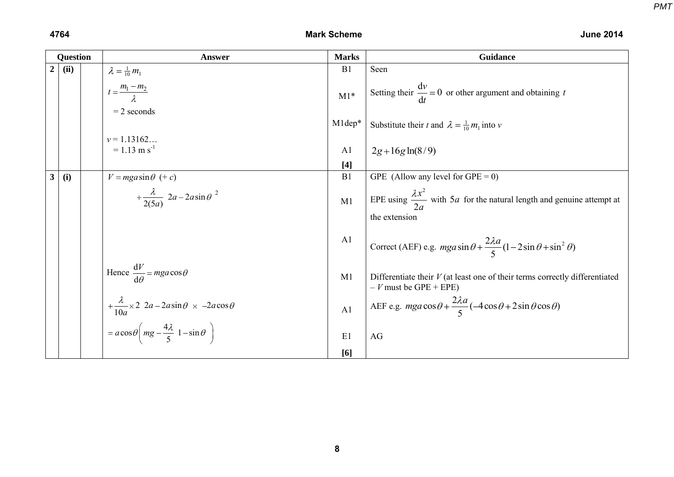|                  | <b>Question</b> | <b>Answer</b>                                                                  | <b>Marks</b>   | <b>Guidance</b>                                                                                          |
|------------------|-----------------|--------------------------------------------------------------------------------|----------------|----------------------------------------------------------------------------------------------------------|
| $\boldsymbol{2}$ | (ii)            | $\lambda = \frac{1}{10} m_1$                                                   | B1             | Seen                                                                                                     |
|                  |                 | $t = \frac{m_1 - m_2}{\lambda}$                                                | $M1*$          | Setting their $\frac{dv}{dt} = 0$ or other argument and obtaining t                                      |
|                  |                 | $= 2$ seconds                                                                  | M1dep*         | Substitute their t and $\lambda = \frac{1}{10} m_1$ into v                                               |
|                  |                 | $v = 1.13162$<br>$= 1.13$ m s <sup>-1</sup>                                    | A <sub>1</sub> | $2g + 16g \ln(8/9)$                                                                                      |
|                  |                 |                                                                                | $[4]$          |                                                                                                          |
| $\mathbf{3}$     | (i)             | $V = mga \sin \theta$ (+ c)                                                    | B1             | GPE (Allow any level for $GPE = 0$ )                                                                     |
|                  |                 | $+\frac{\lambda}{2(5a)}$ 2a - 2a sin $\theta^{2}$                              | M1             | EPE using $\frac{\lambda x^2}{2a}$ with 5 <i>a</i> for the natural length and genuine attempt at         |
|                  |                 |                                                                                |                | the extension                                                                                            |
|                  |                 |                                                                                | A <sub>1</sub> | Correct (AEF) e.g. $mga\sin\theta + \frac{2\lambda a}{5}(1-2\sin\theta + \sin^2\theta)$                  |
|                  |                 | Hence $\frac{dV}{d\theta} = mga \cos \theta$                                   | M1             | Differentiate their $V$ (at least one of their terms correctly differentiated<br>$-V$ must be GPE + EPE) |
|                  |                 | $+\frac{\lambda}{10a} \times 2 \ \ 2a - 2a\sin\theta \ \times \ -2a\cos\theta$ | A <sub>1</sub> | AEF e.g. $mga\cos\theta + \frac{2\lambda a}{5}(-4\cos\theta + 2\sin\theta\cos\theta)$                    |
|                  |                 | $= a \cos \theta \left( mg - \frac{4\lambda}{5} 1 - \sin \theta \right)$       | E1             | $\rm{AG}$                                                                                                |
|                  |                 |                                                                                | [6]            |                                                                                                          |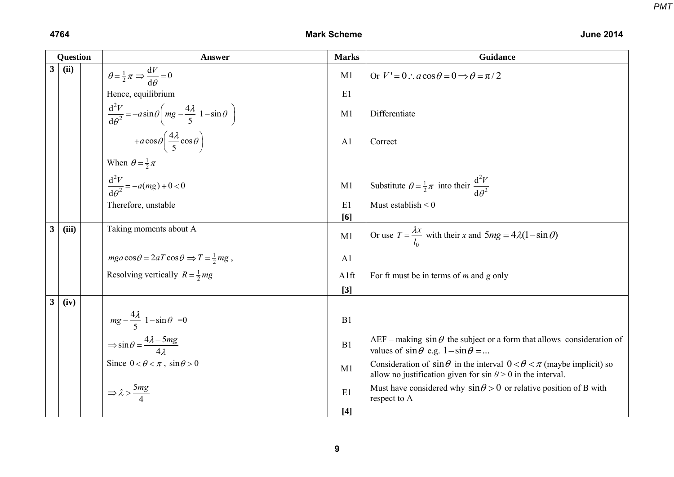|                         | <b>Question</b> |  | <b>Answer</b>                                                                                | <b>Marks</b>   | Guidance                                                                                                                                                     |
|-------------------------|-----------------|--|----------------------------------------------------------------------------------------------|----------------|--------------------------------------------------------------------------------------------------------------------------------------------------------------|
| 3 <sup>1</sup>          | (ii)            |  | $\theta = \frac{1}{2}\pi \Rightarrow \frac{dV}{d\theta} = 0$                                 | M1             | Or $V' = 0$ : $a \cos \theta = 0 \implies \theta = \pi/2$                                                                                                    |
|                         |                 |  | Hence, equilibrium                                                                           | E1             |                                                                                                                                                              |
|                         |                 |  | $\frac{d^2V}{d\theta^2} = -a\sin\theta \left(mg - \frac{4\lambda}{5} 1 - \sin\theta \right)$ | M1             | Differentiate                                                                                                                                                |
|                         |                 |  | + $a\cos\theta\left(\frac{4\lambda}{5}\cos\theta\right)$                                     | A <sub>1</sub> | Correct                                                                                                                                                      |
|                         |                 |  | When $\theta = \frac{1}{2}\pi$                                                               |                |                                                                                                                                                              |
|                         |                 |  | $\frac{d^2V}{d\theta^2} = -a(mg) + 0 < 0$                                                    | M1             | Substitute $\theta = \frac{1}{2}\pi$ into their $\frac{d^2V}{d\theta^2}$                                                                                     |
|                         |                 |  | Therefore, unstable                                                                          | E1<br>[6]      | Must establish $< 0$                                                                                                                                         |
| 3                       | (iii)           |  | Taking moments about A                                                                       | M1             | Or use $T = \frac{\lambda x}{l_0}$ with their x and $5mg = 4\lambda(1-\sin\theta)$                                                                           |
|                         |                 |  | $mga\cos\theta = 2aT\cos\theta \Rightarrow T = \frac{1}{2}mg$ ,                              | A <sub>1</sub> |                                                                                                                                                              |
|                         |                 |  | Resolving vertically $R = \frac{1}{2}mg$                                                     | A1ft           | For ft must be in terms of $m$ and $g$ only                                                                                                                  |
|                         |                 |  |                                                                                              | $[3]$          |                                                                                                                                                              |
| $\overline{\mathbf{3}}$ | (iv)            |  |                                                                                              |                |                                                                                                                                                              |
|                         |                 |  | $mg - \frac{4\lambda}{5}$ 1 - $\sin\theta$ = 0                                               | B1             |                                                                                                                                                              |
|                         |                 |  | $\Rightarrow$ sin $\theta = \frac{4\lambda - 5mg}{4\lambda}$                                 | B1             | AEF – making $\sin \theta$ the subject or a form that allows consideration of<br>values of $\sin \theta$ e.g. $1-\sin \theta = $                             |
|                         |                 |  | Since $0 < \theta < \pi$ , $\sin \theta > 0$                                                 | M1             | Consideration of $\sin \theta$ in the interval $0 < \theta < \pi$ (maybe implicit) so<br>allow no justification given for $\sin \theta > 0$ in the interval. |
|                         |                 |  | $\Rightarrow \lambda > \frac{5mg}{4}$                                                        | E1             | Must have considered why $\sin \theta > 0$ or relative position of B with<br>respect to A                                                                    |
|                         |                 |  |                                                                                              | $[4]$          |                                                                                                                                                              |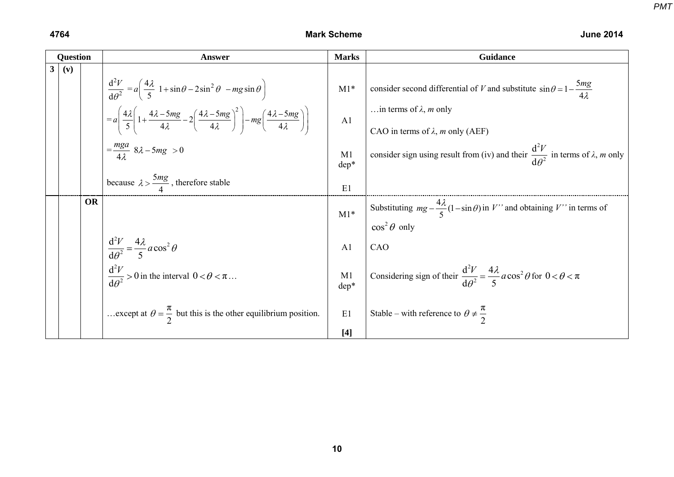|                | <b>Question</b> |           | <b>Answer</b>                                                                                                                                                                                                                                                                                                                | <b>Marks</b>            | Guidance                                                                                                                                                                              |
|----------------|-----------------|-----------|------------------------------------------------------------------------------------------------------------------------------------------------------------------------------------------------------------------------------------------------------------------------------------------------------------------------------|-------------------------|---------------------------------------------------------------------------------------------------------------------------------------------------------------------------------------|
| 3 <sup>1</sup> | (v)             |           | $\frac{d^2V}{d\theta^2} = a\left(\frac{4\lambda}{5} 1 + \sin\theta - 2\sin^2\theta - mg\sin\theta\right)$<br>$\mathcal{A} = a \left( \frac{4\lambda}{5} \left( 1 + \frac{4\lambda - 5mg}{4\lambda} - 2 \left( \frac{4\lambda - 5mg}{4\lambda} \right)^2 \right) - mg \left( \frac{4\lambda - 5mg}{4\lambda} \right) \right)$ | $M1*$<br>A <sub>1</sub> | consider second differential of V and substitute $\sin \theta = 1 - \frac{5mg}{4\lambda}$<br>in terms of $\lambda$ , <i>m</i> only<br>CAO in terms of $\lambda$ , <i>m</i> only (AEF) |
|                |                 |           | $=\frac{mga}{4\lambda}$ 8 $\lambda$ - 5mg > 0                                                                                                                                                                                                                                                                                | M1<br>dep*              | consider sign using result from (iv) and their $\frac{d^2V}{d\theta^2}$ in terms of $\lambda$ , <i>m</i> only                                                                         |
|                |                 |           | because $\lambda > \frac{5mg}{4}$ , therefore stable                                                                                                                                                                                                                                                                         | E1                      |                                                                                                                                                                                       |
|                |                 | <b>OR</b> |                                                                                                                                                                                                                                                                                                                              | $M1*$                   | Substituting $mg - \frac{4\lambda}{5}(1-\sin\theta)$ in V'' and obtaining V'' in terms of<br>$\cos^2 \theta$ only                                                                     |
|                |                 |           | $\frac{d^2V}{d\theta^2} = \frac{4\lambda}{5} a \cos^2 \theta$                                                                                                                                                                                                                                                                | A <sub>1</sub>          | CAO                                                                                                                                                                                   |
|                |                 |           | $\frac{d^2V}{d\theta^2} > 0$ in the interval $0 < \theta < \pi$                                                                                                                                                                                                                                                              | M1<br>$dep*$            | Considering sign of their $\frac{d^2V}{d\theta^2} = \frac{4\lambda}{5} a \cos^2 \theta$ for $0 < \theta < \pi$                                                                        |
|                |                 |           | except at $\theta = \frac{\pi}{2}$ but this is the other equilibrium position.                                                                                                                                                                                                                                               | E1                      | Stable – with reference to $\theta \neq \frac{\pi}{2}$                                                                                                                                |
|                |                 |           |                                                                                                                                                                                                                                                                                                                              | $[4]$                   |                                                                                                                                                                                       |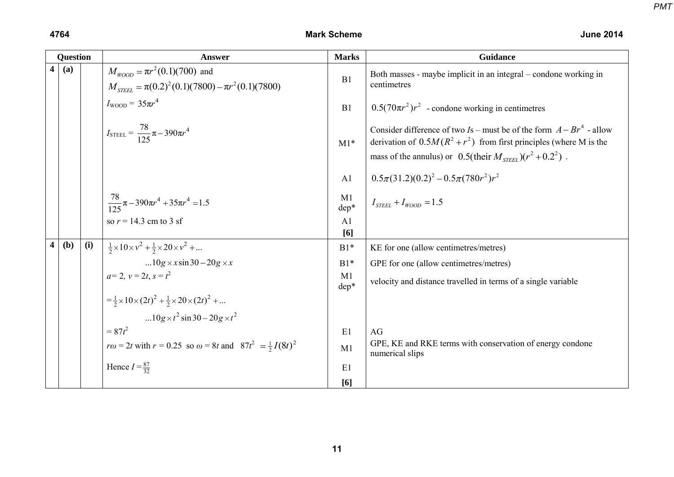|                         | <b>Question</b> |     | Answer                                                                                                   | <b>Marks</b>           | Guidance                                                                                                                                                                                                                    |
|-------------------------|-----------------|-----|----------------------------------------------------------------------------------------------------------|------------------------|-----------------------------------------------------------------------------------------------------------------------------------------------------------------------------------------------------------------------------|
| $\overline{\mathbf{4}}$ | (a)             |     | $M_{WOD} = \pi r^2 (0.1)(700)$ and<br>$M_{\text{STFEL}} = \pi (0.2)^2 (0.1)(7800) - \pi r^2 (0.1)(7800)$ | B1                     | Both masses - maybe implicit in an integral – condone working in<br>centimetres                                                                                                                                             |
|                         |                 |     | $I_{\text{WOOD}} = 35\pi r^4$                                                                            | B1                     | $0.5(70\pi r^2)r^2$ - condone working in centimetres                                                                                                                                                                        |
|                         |                 |     | $I_{\text{STEEL}} = \frac{78}{125} \pi - 390 \pi r^4$                                                    | $M1*$                  | Consider difference of two Is – must be of the form $A - Br^4$ - allow<br>derivation of $0.5M(R^2 + r^2)$ from first principles (where M is the<br>mass of the annulus) or 0.5(their $M_{\text{STEEL}}$ )( $r^2 + 0.2^2$ ). |
|                         |                 |     |                                                                                                          | A1                     | $0.5\pi(31.2)(0.2)^{2}-0.5\pi(780r^{2})r^{2}$                                                                                                                                                                               |
|                         |                 |     | $\frac{78}{125}\pi - 390\pi r^4 + 35\pi r^4 = 1.5$                                                       | M <sub>1</sub><br>dep* | $I_{\text{STEEL}} + I_{\text{WOD}} = 1.5$                                                                                                                                                                                   |
|                         |                 |     | so $r = 14.3$ cm to 3 sf                                                                                 | A1<br>[6]              |                                                                                                                                                                                                                             |
| $\overline{\mathbf{4}}$ | (b)             | (i) | $\frac{1}{2} \times 10 \times v^2 + \frac{1}{2} \times 20 \times v^2 + $                                 | $B1*$                  | KE for one (allow centimetres/metres)                                                                                                                                                                                       |
|                         |                 |     | $10g \times x \sin 30 - 20g \times x$                                                                    | $B1*$                  | GPE for one (allow centimetres/metres)                                                                                                                                                                                      |
|                         |                 |     | $a=2, v=2t, s=t^2$                                                                                       | M1<br>dep*             | velocity and distance travelled in terms of a single variable                                                                                                                                                               |
|                         |                 |     | $=\frac{1}{2}\times 10\times (2t)^2 + \frac{1}{2}\times 20\times (2t)^2 + $                              |                        |                                                                                                                                                                                                                             |
|                         |                 |     | 10g $\times t^2$ sin 30 – 20g $\times t^2$                                                               |                        |                                                                                                                                                                                                                             |
|                         |                 |     | $= 87t^2$                                                                                                | E1                     | AG                                                                                                                                                                                                                          |
|                         |                 |     | $r\omega = 2t$ with $r = 0.25$ so $\omega = 8t$ and $87t^2 = \frac{1}{2}I(8t)^2$                         | M1                     | GPE, KE and RKE terms with conservation of energy condone<br>numerical slips                                                                                                                                                |
|                         |                 |     | Hence $I = \frac{87}{32}$                                                                                | E1                     |                                                                                                                                                                                                                             |
|                         |                 |     |                                                                                                          | [6]                    |                                                                                                                                                                                                                             |